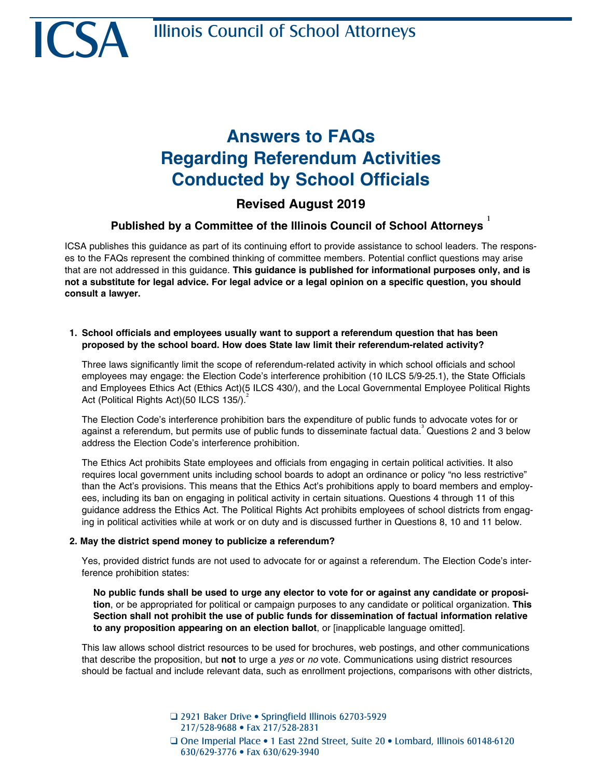ICSA

# **Answers to FAQs Regarding Referendum Activities Conducted by School Officials**

### **Revised August 2019**

## **Published by a Committee of the Illinois Council of School Attorneys**  1

ICSA publishes this guidance as part of its continuing effort to provide assistance to school leaders. The responses to the FAQs represent the combined thinking of committee members. Potential conflict questions may arise that are not addressed in this guidance. **This guidance is published for informational purposes only, and is not a substitute for legal advice. For legal advice or a legal opinion on a specific question, you should consult a lawyer.**

#### **1. School officials and employees usually want to support a referendum question that has been proposed by the school board. How does State law limit their referendum-related activity?**

Three laws significantly limit the scope of referendum-related activity in which school officials and school employees may engage: the Election Code's interference prohibition (10 ILCS 5/9-25.1), the State Officials and Employees Ethics Act (Ethics Act)(5 ILCS 430/), and the Local Governmental Employee Political Rights Act (Political Rights Act)(50 ILCS 135/).

The Election Code's interference prohibition bars the expenditure of public funds to advocate votes for or against a referendum, but permits use of public funds to disseminate factual data.<sup>3</sup> Questions 2 and 3 below address the Election Code's interference prohibition.

The Ethics Act prohibits State employees and officials from engaging in certain political activities. It also requires local government units including school boards to adopt an ordinance or policy "no less restrictive" than the Act's provisions. This means that the Ethics Act's prohibitions apply to board members and employees, including its ban on engaging in political activity in certain situations. Questions 4 through 11 of this guidance address the Ethics Act. The Political Rights Act prohibits employees of school districts from engaging in political activities while at work or on duty and is discussed further in Questions 8, 10 and 11 below.

#### **2. May the district spend money to publicize a referendum?**

Yes, provided district funds are not used to advocate for or against a referendum. The Election Code's interference prohibition states:

**No public funds shall be used to urge any elector to vote for or against any candidate or proposition**, or be appropriated for political or campaign purposes to any candidate or political organization. **This Section shall not prohibit the use of public funds for dissemination of factual information relative to any proposition appearing on an election ballot**, or [inapplicable language omitted].

This law allows school district resources to be used for brochures, web postings, and other communications that describe the proposition, but **not** to urge a *yes* or *no* vote. Communications using district resources should be factual and include relevant data, such as enrollment projections, comparisons with other districts,

> □ 2921 Baker Drive • Springfield Illinois 62703-5929 217/528-9688 • Fax 217/528-2831

Q One Imperial Place • 1 East 22nd Street, Suite 20 • Lombard, Illinois 60148-6120 630/629-3776 • Fax 630/629-3940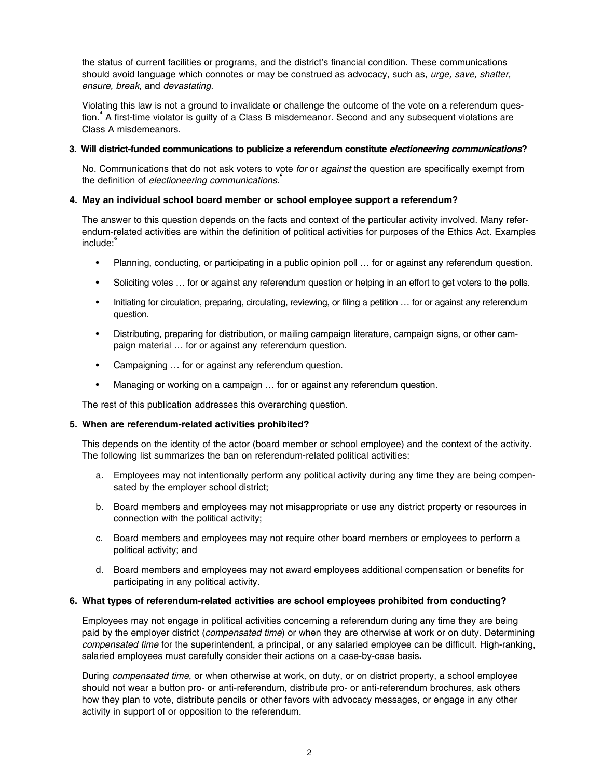the status of current facilities or programs, and the district's financial condition. These communications should avoid language which connotes or may be construed as advocacy, such as, *urge, save, shatter, ensure, break,* and *devastating.*

Violating this law is not a ground to invalidate or challenge the outcome of the vote on a referendum question.**4** A first-time violator is guilty of a Class B misdemeanor. Second and any subsequent violations are Class A misdemeanors.

#### **3. Will district-funded communications to publicize a referendum constitute** *electioneering communications***?**

No. Communications that do not ask voters to vote *for* or *against* the question are specifically exempt from the definition of *electioneering communications*. **5**

#### **4. May an individual school board member or school employee support a referendum?**

The answer to this question depends on the facts and context of the particular activity involved. Many referendum-related activities are within the definition of political activities for purposes of the Ethics Act. Examples include:**6**

- Planning, conducting, or participating in a public opinion poll … for or against any referendum question.
- Soliciting votes … for or against any referendum question or helping in an effort to get voters to the polls.
- Initiating for circulation, preparing, circulating, reviewing, or filing a petition … for or against any referendum question.
- Distributing, preparing for distribution, or mailing campaign literature, campaign signs, or other campaign material … for or against any referendum question.
- Campaigning … for or against any referendum question.
- Managing or working on a campaign ... for or against any referendum question.

The rest of this publication addresses this overarching question.

#### **5. When are referendum-related activities prohibited?**

This depends on the identity of the actor (board member or school employee) and the context of the activity. The following list summarizes the ban on referendum-related political activities:

- a. Employees may not intentionally perform any political activity during any time they are being compensated by the employer school district;
- b. Board members and employees may not misappropriate or use any district property or resources in connection with the political activity;
- c. Board members and employees may not require other board members or employees to perform a political activity; and
- d. Board members and employees may not award employees additional compensation or benefits for participating in any political activity.

#### **6. What types of referendum-related activities are school employees prohibited from conducting?**

Employees may not engage in political activities concerning a referendum during any time they are being paid by the employer district (*compensated time*) or when they are otherwise at work or on duty. Determining *compensated time* for the superintendent, a principal, or any salaried employee can be difficult. High-ranking, salaried employees must carefully consider their actions on a case-by-case basis**.**

During *compensated time*, or when otherwise at work, on duty, or on district property, a school employee should not wear a button pro- or anti-referendum, distribute pro- or anti-referendum brochures, ask others how they plan to vote, distribute pencils or other favors with advocacy messages, or engage in any other activity in support of or opposition to the referendum.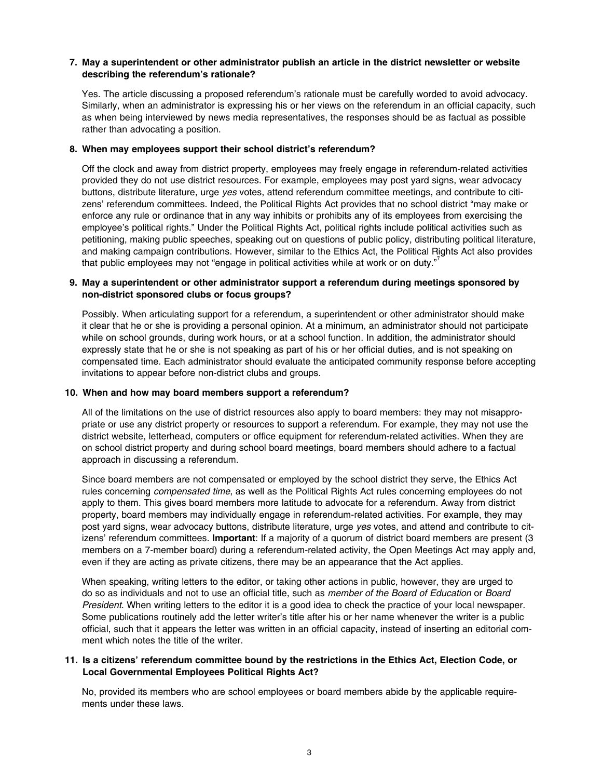#### **7. May a superintendent or other administrator publish an article in the district newsletter or website describing the referendum's rationale?**

Yes. The article discussing a proposed referendum's rationale must be carefully worded to avoid advocacy. Similarly, when an administrator is expressing his or her views on the referendum in an official capacity, such as when being interviewed by news media representatives, the responses should be as factual as possible rather than advocating a position.

#### **8. When may employees support their school district's referendum?**

Off the clock and away from district property, employees may freely engage in referendum-related activities provided they do not use district resources. For example, employees may post yard signs, wear advocacy buttons, distribute literature, urge *yes* votes, attend referendum committee meetings, and contribute to citizens' referendum committees. Indeed, the Political Rights Act provides that no school district "may make or enforce any rule or ordinance that in any way inhibits or prohibits any of its employees from exercising the employee's political rights." Under the Political Rights Act, political rights include political activities such as petitioning, making public speeches, speaking out on questions of public policy, distributing political literature, and making campaign contributions. However, similar to the Ethics Act, the Political Rights Act also provides that public employees may not "engage in political activities while at work or on duty."**7**

#### **9. May a superintendent or other administrator support a referendum during meetings sponsored by non-district sponsored clubs or focus groups?**

Possibly. When articulating support for a referendum, a superintendent or other administrator should make it clear that he or she is providing a personal opinion. At a minimum, an administrator should not participate while on school grounds, during work hours, or at a school function. In addition, the administrator should expressly state that he or she is not speaking as part of his or her official duties, and is not speaking on compensated time. Each administrator should evaluate the anticipated community response before accepting invitations to appear before non-district clubs and groups.

#### **10. When and how may board members support a referendum?**

All of the limitations on the use of district resources also apply to board members: they may not misappropriate or use any district property or resources to support a referendum. For example, they may not use the district website, letterhead, computers or office equipment for referendum-related activities. When they are on school district property and during school board meetings, board members should adhere to a factual approach in discussing a referendum.

Since board members are not compensated or employed by the school district they serve, the Ethics Act rules concerning *compensated time*, as well as the Political Rights Act rules concerning employees do not apply to them. This gives board members more latitude to advocate for a referendum. Away from district property, board members may individually engage in referendum-related activities. For example, they may post yard signs, wear advocacy buttons, distribute literature, urge *yes* votes, and attend and contribute to citizens' referendum committees. **Important**: If a majority of a quorum of district board members are present (3 members on a 7-member board) during a referendum-related activity, the Open Meetings Act may apply and, even if they are acting as private citizens, there may be an appearance that the Act applies.

When speaking, writing letters to the editor, or taking other actions in public, however, they are urged to do so as individuals and not to use an official title, such as *member of the Board of Education* or *Board President*. When writing letters to the editor it is a good idea to check the practice of your local newspaper. Some publications routinely add the letter writer's title after his or her name whenever the writer is a public official, such that it appears the letter was written in an official capacity, instead of inserting an editorial comment which notes the title of the writer.

#### **11. Is a citizens' referendum committee bound by the restrictions in the Ethics Act, Election Code, or Local Governmental Employees Political Rights Act?**

No, provided its members who are school employees or board members abide by the applicable requirements under these laws.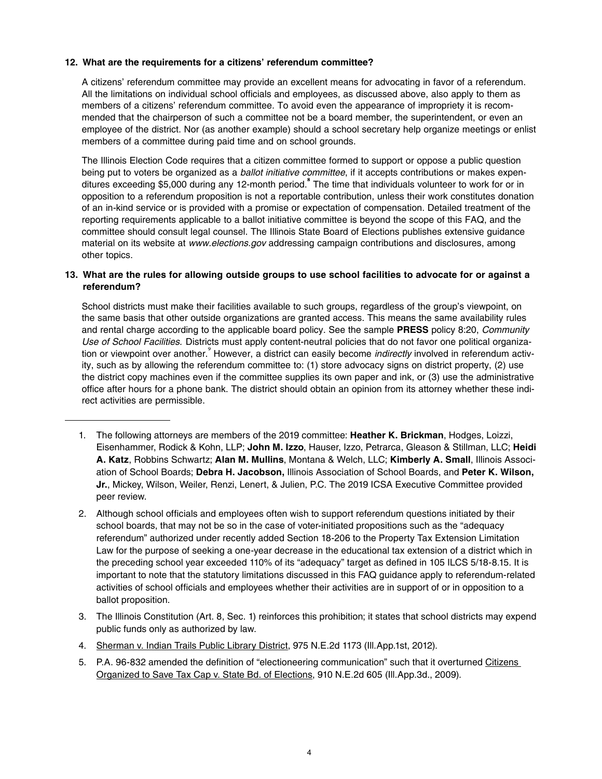#### **12. What are the requirements for a citizens' referendum committee?**

A citizens' referendum committee may provide an excellent means for advocating in favor of a referendum. All the limitations on individual school officials and employees, as discussed above, also apply to them as members of a citizens' referendum committee. To avoid even the appearance of impropriety it is recommended that the chairperson of such a committee not be a board member, the superintendent, or even an employee of the district. Nor (as another example) should a school secretary help organize meetings or enlist members of a committee during paid time and on school grounds.

The Illinois Election Code requires that a citizen committee formed to support or oppose a public question being put to voters be organized as a *ballot initiative committee*, if it accepts contributions or makes expenditures exceeding \$5,000 during any 12-month period.**8** The time that individuals volunteer to work for or in opposition to a referendum proposition is not a reportable contribution, unless their work constitutes donation of an in-kind service or is provided with a promise or expectation of compensation. Detailed treatment of the reporting requirements applicable to a ballot initiative committee is beyond the scope of this FAQ, and the committee should consult legal counsel. The Illinois State Board of Elections publishes extensive guidance material on its website at *www.elections.gov* addressing campaign contributions and disclosures, among other topics.

#### **13. What are the rules for allowing outside groups to use school facilities to advocate for or against a referendum?**

School districts must make their facilities available to such groups, regardless of the group's viewpoint, on the same basis that other outside organizations are granted access. This means the same availability rules and rental charge according to the applicable board policy. See the sample **PRESS** policy 8:20, *Community Use of School Facilities*. Districts must apply content-neutral policies that do not favor one political organization or viewpoint over another.<sup>9</sup> However, a district can easily become *indirectly* involved in referendum activity, such as by allowing the referendum committee to: (1) store advocacy signs on district property, (2) use the district copy machines even if the committee supplies its own paper and ink, or (3) use the administrative office after hours for a phone bank. The district should obtain an opinion from its attorney whether these indirect activities are permissible.

- 1. The following attorneys are members of the 2019 committee: **Heather K. Brickman**, Hodges, Loizzi, Eisenhammer, Rodick & Kohn, LLP; **John M. Izzo**, Hauser, Izzo, Petrarca, Gleason & Stillman, LLC; **Heidi A. Katz**, Robbins Schwartz; **Alan M. Mullins**, Montana & Welch, LLC; **Kimberly A. Small**, Illinois Association of School Boards; **Debra H. Jacobson,** Illinois Association of School Boards, and **Peter K. Wilson, Jr.**, Mickey, Wilson, Weiler, Renzi, Lenert, & Julien, P.C. The 2019 ICSA Executive Committee provided peer review.
- 2. Although school officials and employees often wish to support referendum questions initiated by their school boards, that may not be so in the case of voter-initiated propositions such as the "adequacy referendum" authorized under recently added Section 18-206 to the Property Tax Extension Limitation Law for the purpose of seeking a one-year decrease in the educational tax extension of a district which in the preceding school year exceeded 110% of its "adequacy" target as defined in 105 ILCS 5/18-8.15. It is important to note that the statutory limitations discussed in this FAQ guidance apply to referendum-related activities of school officials and employees whether their activities are in support of or in opposition to a ballot proposition.
- 3. The Illinois Constitution (Art. 8, Sec. 1) reinforces this prohibition; it states that school districts may expend public funds only as authorized by law.
- 4. Sherman v. Indian Trails Public Library District, 975 N.E.2d 1173 (Ill.App.1st, 2012).
- 5. P.A. 96-832 amended the definition of "electioneering communication" such that it overturned Citizens Organized to Save Tax Cap v. State Bd. of Elections, 910 N.E.2d 605 (Ill.App.3d., 2009).